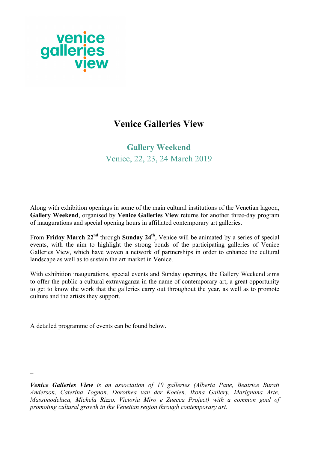

# **Venice Galleries View**

# **Gallery Weekend** Venice, 22, 23, 24 March 2019

Along with exhibition openings in some of the main cultural institutions of the Venetian lagoon, **Gallery Weekend**, organised by **Venice Galleries View** returns for another three-day program of inaugurations and special opening hours in affiliated contemporary art galleries.

From **Friday March 22nd** through **Sunday 24th**, Venice will be animated by a series of special events, with the aim to highlight the strong bonds of the participating galleries of Venice Galleries View, which have woven a network of partnerships in order to enhance the cultural landscape as well as to sustain the art market in Venice.

With exhibition inaugurations, special events and Sunday openings, the Gallery Weekend aims to offer the public a cultural extravaganza in the name of contemporary art, a great opportunity to get to know the work that the galleries carry out throughout the year, as well as to promote culture and the artists they support.

A detailed programme of events can be found below.

 $\overline{a}$ 

*Venice Galleries View is an association of 10 galleries (Alberta Pane, Beatrice Burati Anderson, Caterina Tognon, Dorothea van der Koelen, Ikona Gallery, Marignana Arte, Massimodeluca, Michela Rizzo, Victoria Miro e Zuecca Project) with a common goal of promoting cultural growth in the Venetian region through contemporary art.*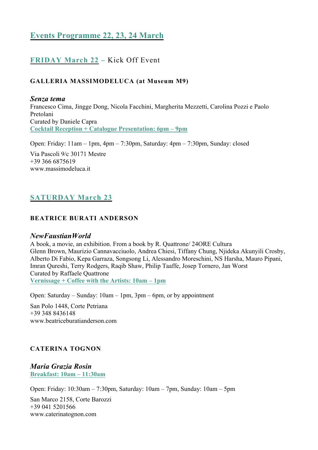# **Events Programme 22, 23, 24 March**

# **FRIDAY March 22 –** Kick Off Event

## **GALLERIA MASSIMODELUCA (at Museum M9)**

*Senza tema* Francesco Cima, Jingge Dong, Nicola Facchini, Margherita Mezzetti, Carolina Pozzi e Paolo Pretolani Curated by Daniele Capra **Cocktail Reception + Catalogue Presentation: 6pm – 9pm**

Open: Friday: 11am – 1pm, 4pm – 7:30pm, Saturday: 4pm – 7:30pm, Sunday: closed Via Pascoli 9/c 30171 Mestre

+39 366 6875619 www.massimodeluca.it

# **SATURDAY March 23**

### **BEATRICE BURATI ANDERSON**

### *NewFaustianWorld*

A book, a movie, an exhibition. From a book by R. Quattrone/ 24ORE Cultura Glenn Brown, Maurizio Cannavacciuolo, Andrea Chiesi, Tiffany Chung, Njideka Akunyili Crosby, Alberto Di Fabio, Kepa Garraza, Songsong Li, Alessandro Moreschini, NS Harsha, Mauro Pipani, Imran Qureshi, Terry Rodgers, Raqib Shaw, Philip Taaffe, Josep Tornero, Jan Worst Curated by Raffaele Quattrone **Vernissage + Coffee with the Artists: 10am – 1pm**

Open: Saturday – Sunday: 10am – 1pm, 3pm – 6pm, or by appointment

San Polo 1448, Corte Petriana +39 348 8436148 www.beatriceburatianderson.com

### **CATERINA TOGNON**

*Maria Grazia Rosin* **Breakfast: 10am – 11:30am**

Open: Friday: 10:30am – 7:30pm, Saturday: 10am – 7pm, Sunday: 10am – 5pm

San Marco 2158, Corte Barozzi +39 041 5201566 www.caterinatognon.com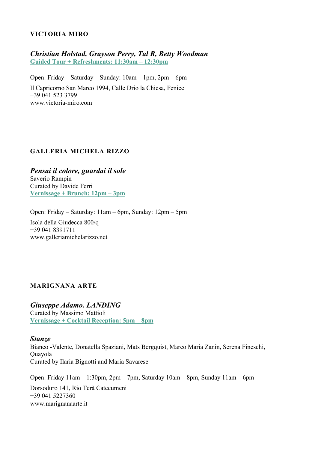### **VICTORIA MIRO**

# *Christian Holstad, Grayson Perry, Tal R, Betty Woodman* **Guided Tour + Refreshments: 11:30am – 12:30pm**

Open: Friday – Saturday – Sunday: 10am – 1pm, 2pm – 6pm Il Capricorno San Marco 1994, Calle Drio la Chiesa, Fenice +39 041 523 3799 www.victoria-miro.com

### **GALLERIA MICHELA RIZZO**

*Pensai il colore, guardai il sole* Saverio Rampin Curated by Davide Ferri **Vernissage + Brunch: 12pm – 3pm**

Open: Friday – Saturday: 11am – 6pm, Sunday: 12pm – 5pm Isola della Giudecca 800/q +39 041 8391711 www.galleriamichelarizzo.net

### **MARIGNANA ARTE**

*Giuseppe Adamo. LANDING* Curated by Massimo Mattioli **Vernissage + Cocktail Reception: 5pm – 8pm**

#### *Stanze*

Bianco -Valente, Donatella Spaziani, Mats Bergquist, Marco Maria Zanin, Serena Fineschi, Quayola Curated by Ilaria Bignotti and Maria Savarese

Open: Friday 11am – 1:30pm, 2pm – 7pm, Saturday 10am – 8pm, Sunday 11am – 6pm Dorsoduro 141, Rio Terà Catecumeni +39 041 5227360 www.marignanaarte.it